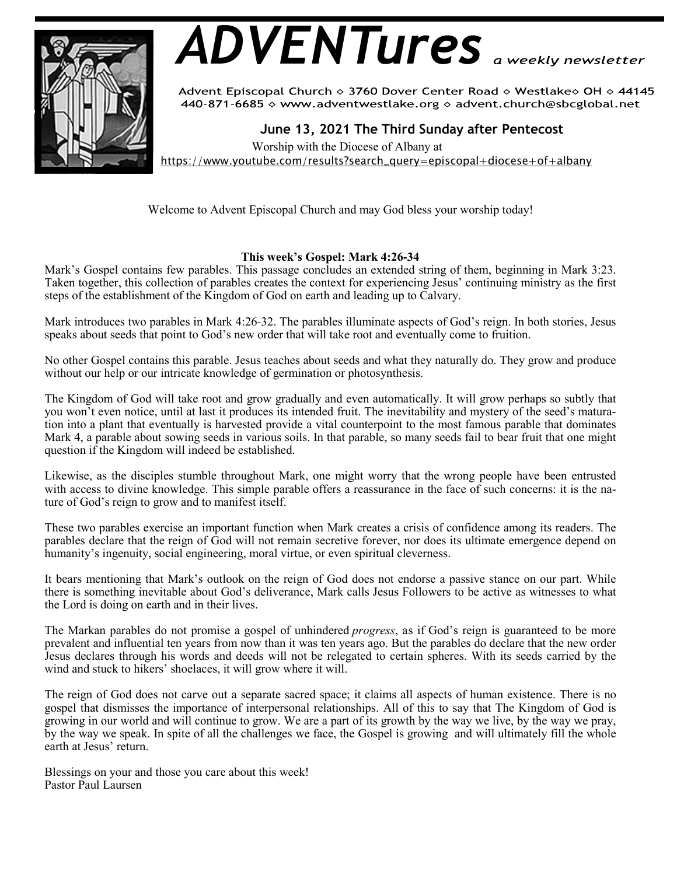

# *ADVENTures*

Advent Episcopal Church ◇ 3760 Dover Center Road ◇ Westlake◇ OH ◇ 44145 440-871-6685 > www.adventwestlake.org > advent.church@sbcglobal.net

 **June 13, 2021 The Third Sunday after Pentecost** 

 Worship with the Diocese of Albany at https://www.youtube.com/results?search\_query=episcopal+diocese+of+albany

Welcome to Advent Episcopal Church and may God bless your worship today!

# **This week's Gospel: Mark 4:26-34**

Mark's Gospel contains few parables. This passage concludes an extended string of them, beginning in Mark 3:23. Taken together, this collection of parables creates the context for experiencing Jesus' continuing ministry as the first steps of the establishment of the Kingdom of God on earth and leading up to Calvary.

Mark introduces two parables in Mark 4:26-32. The parables illuminate aspects of God's reign. In both stories, Jesus speaks about seeds that point to God's new order that will take root and eventually come to fruition.

No other Gospel contains this parable. Jesus teaches about seeds and what they naturally do. They grow and produce without our help or our intricate knowledge of germination or photosynthesis.

The Kingdom of God will take root and grow gradually and even automatically. It will grow perhaps so subtly that you won't even notice, until at last it produces its intended fruit. The inevitability and mystery of the seed's maturation into a plant that eventually is harvested provide a vital counterpoint to the most famous parable that dominates Mark 4, a parable about sowing seeds in various soils. In that parable, so many seeds fail to bear fruit that one might question if the Kingdom will indeed be established.

Likewise, as the disciples stumble throughout Mark, one might worry that the wrong people have been entrusted with access to divine knowledge. This simple parable offers a reassurance in the face of such concerns: it is the nature of God's reign to grow and to manifest itself.

These two parables exercise an important function when Mark creates a crisis of confidence among its readers. The parables declare that the reign of God will not remain secretive forever, nor does its ultimate emergence depend on humanity's ingenuity, social engineering, moral virtue, or even spiritual cleverness.

It bears mentioning that Mark's outlook on the reign of God does not endorse a passive stance on our part. While there is something inevitable about God's deliverance, Mark calls Jesus Followers to be active as witnesses to what the Lord is doing on earth and in their lives.

The Markan parables do not promise a gospel of unhindered *progress*, as if God's reign is guaranteed to be more prevalent and influential ten years from now than it was ten years ago. But the parables do declare that the new order Jesus declares through his words and deeds will not be relegated to certain spheres. With its seeds carried by the wind and stuck to hikers' shoelaces, it will grow where it will.

The reign of God does not carve out a separate sacred space; it claims all aspects of human existence. There is no gospel that dismisses the importance of interpersonal relationships. All of this to say that The Kingdom of God is growing in our world and will continue to grow. We are a part of its growth by the way we live, by the way we pray, by the way we speak. In spite of all the challenges we face, the Gospel is growing and will ultimately fill the whole earth at Jesus' return.

Blessings on your and those you care about this week! Pastor Paul Laursen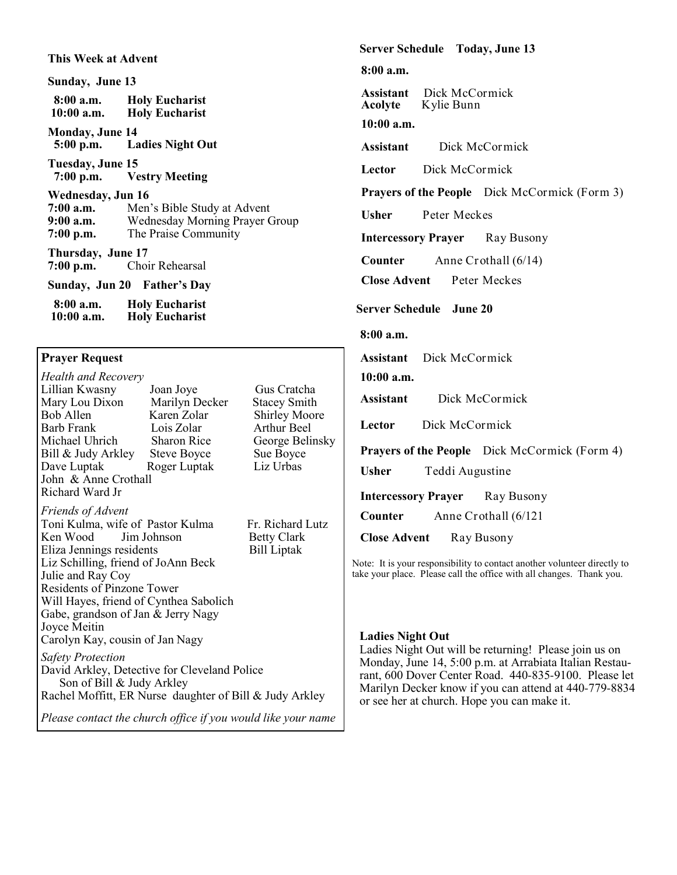#### **This Week at Advent**

**Sunday, June 13 8:00 a.m. Holy Eucharist Holy Eucharist Monday, June 14**<br>5:00 p.m. La **Ladies Night Out Tuesday, June 15 Vestry Meeting Wednesday, Jun 16**<br>**7:00 a.m.** Men Men's Bible Study at Advent **9:00 a.m.** Wednesday Morning Prayer Group **7:00 p.m.** The Praise Community **Thursday, June 17 7:00 p.m.** Choir Rehearsal **Sunday, Jun 20 Father's Day 8:00 a.m. Holy Eucharist Holy Eucharist** 

# **Prayer Request**

*Health and Recovery* Lillian Kwasny Joan Joye Gus Cratcha Mary Lou Dixon Marilyn Dec<br>Bob Allen Karen Zolar Bob Allen Karen Zolar Shirley Moore<br>Barb Frank Lois Zolar Arthur Beel Arthur Beel Michael Uhrich Sharon Rice George Belinsky<br>
Bill & Judy Arkley Steve Boyce Sue Boyce Bill  $&$  Judy Arkley Dave Luptak Roger Luptak Liz Urbas John & Anne Crothall Richard Ward Jr *Friends of Advent* Toni Kulma, wife of Pastor Kulma Fr. Richard Lutz Ken Wood Jim Johnson Betty Clark<br>Eliza Jennings residents Bill Liptak Eliza Jennings residents Liz Schilling, friend of JoAnn Beck Julie and Ray Coy Residents of Pinzone Tower Will Hayes, friend of Cynthea Sabolich Gabe, grandson of Jan & Jerry Nagy Joyce Meitin Carolyn Kay, cousin of Jan Nagy *Safety Protection* David Arkley, Detective for Cleveland Police Son of Bill & Judy Arkley Rachel Moffitt, ER Nurse daughter of Bill & Judy Arkley *Please contact the church office if you would like your name*  **Server Schedule Today, June 13**

**8:00 a.m.**

**Assistant** Dick McCormick<br>**Acolyte** Kylie Bunn **Acolyte** Kylie Bunn

**10:00 a.m.**

**Assistant** Dick McCormick

**Lector** Dick McCormick

Prayers of the People Dick McCormick (Form 3)

**Usher** Peter Meckes

**Intercessory Prayer** Ray Busony

**Counter** Anne Crothall (6/14)

**Close Advent** Peter Meckes

## **Server Schedule June 20**

## **8:00 a.m.**

**Assistant** Dick McCormick

#### **10:00 a.m.**

**Assistant** Dick McCormick

**Lector** Dick McCormick

**Prayers of the People** Dick McCormick (Form 4)

**Usher** Teddi Augustine

**Intercessory Prayer** Ray Busony

**Counter** Anne Crothall (6/121

**Close Advent** Ray Busony

Note: It is your responsibility to contact another volunteer directly to take your place. Please call the office with all changes. Thank you.

#### **Ladies Night Out**

Ladies Night Out will be returning! Please join us on Monday, June 14, 5:00 p.m. at Arrabiata Italian Restaurant, 600 Dover Center Road. 440-835-9100. Please let Marilyn Decker know if you can attend at 440-779-8834 or see her at church. Hope you can make it.